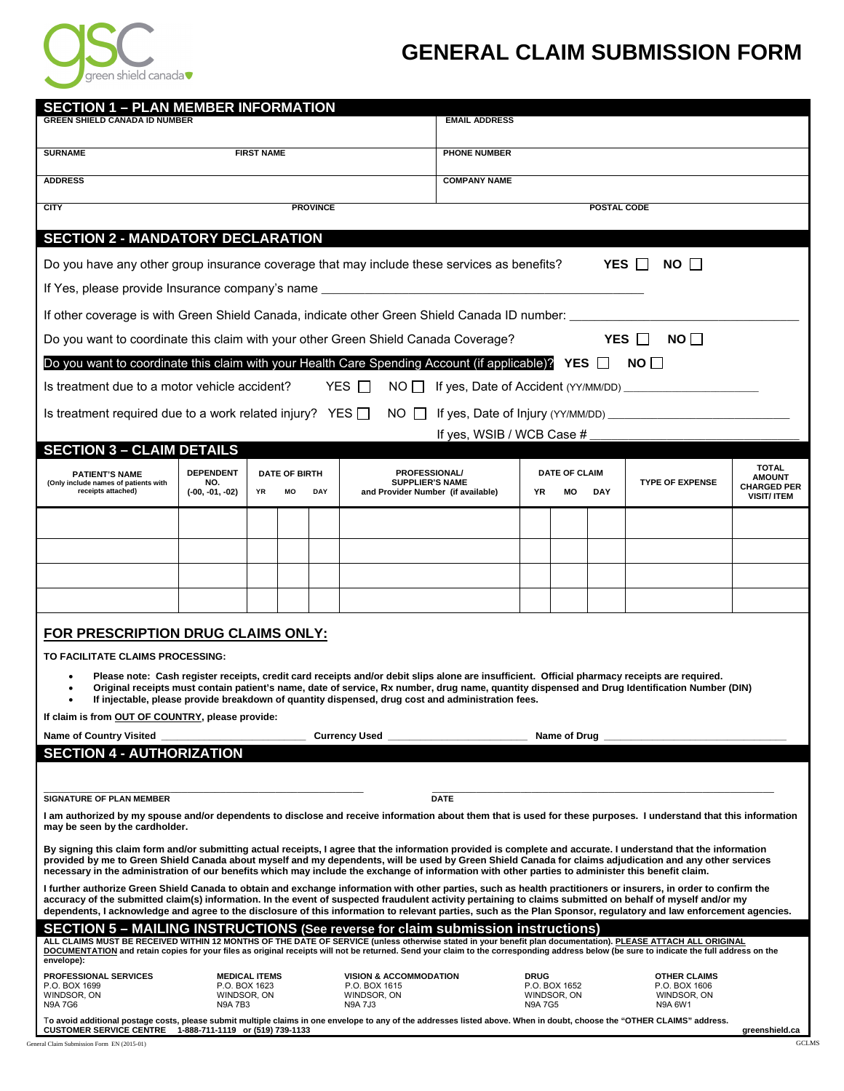

## **GENERAL CLAIM SUBMISSION FORM**

| <b>SECTION 1 - PLAN MEMBER INFORMATION</b>                                                                                                                                                                                                                                                                                                                                                                                                                                                          |                                                |                      |                            |     |                                                                                      |                      |                              |                              |            |                                                                |                                                           |  |
|-----------------------------------------------------------------------------------------------------------------------------------------------------------------------------------------------------------------------------------------------------------------------------------------------------------------------------------------------------------------------------------------------------------------------------------------------------------------------------------------------------|------------------------------------------------|----------------------|----------------------------|-----|--------------------------------------------------------------------------------------|----------------------|------------------------------|------------------------------|------------|----------------------------------------------------------------|-----------------------------------------------------------|--|
| <b>GREEN SHIELD CANADA ID NUMBER</b>                                                                                                                                                                                                                                                                                                                                                                                                                                                                |                                                |                      |                            |     |                                                                                      | <b>EMAIL ADDRESS</b> |                              |                              |            |                                                                |                                                           |  |
| <b>FIRST NAME</b><br><b>SURNAME</b>                                                                                                                                                                                                                                                                                                                                                                                                                                                                 |                                                |                      |                            |     |                                                                                      | <b>PHONE NUMBER</b>  |                              |                              |            |                                                                |                                                           |  |
| <b>ADDRESS</b>                                                                                                                                                                                                                                                                                                                                                                                                                                                                                      |                                                |                      |                            |     |                                                                                      | <b>COMPANY NAME</b>  |                              |                              |            |                                                                |                                                           |  |
| <b>CITY</b>                                                                                                                                                                                                                                                                                                                                                                                                                                                                                         | POSTAL CODE                                    |                      |                            |     |                                                                                      |                      |                              |                              |            |                                                                |                                                           |  |
| <b>SECTION 2 - MANDATORY DECLARATION</b>                                                                                                                                                                                                                                                                                                                                                                                                                                                            |                                                |                      |                            |     |                                                                                      |                      |                              |                              |            |                                                                |                                                           |  |
| YES IT<br>Do you have any other group insurance coverage that may include these services as benefits?<br>NO II                                                                                                                                                                                                                                                                                                                                                                                      |                                                |                      |                            |     |                                                                                      |                      |                              |                              |            |                                                                |                                                           |  |
| If Yes, please provide Insurance company's name ________________________________                                                                                                                                                                                                                                                                                                                                                                                                                    |                                                |                      |                            |     |                                                                                      |                      |                              |                              |            |                                                                |                                                           |  |
| If other coverage is with Green Shield Canada, indicate other Green Shield Canada ID number:                                                                                                                                                                                                                                                                                                                                                                                                        |                                                |                      |                            |     |                                                                                      |                      |                              |                              |            |                                                                |                                                           |  |
| Do you want to coordinate this claim with your other Green Shield Canada Coverage?<br>YES $\Box$<br>NO I I                                                                                                                                                                                                                                                                                                                                                                                          |                                                |                      |                            |     |                                                                                      |                      |                              |                              |            |                                                                |                                                           |  |
| Do you want to coordinate this claim with your Health Care Spending Account (if applicable)? YES $\Box$<br>NO I I                                                                                                                                                                                                                                                                                                                                                                                   |                                                |                      |                            |     |                                                                                      |                      |                              |                              |            |                                                                |                                                           |  |
| YES $\Box$<br>Is treatment due to a motor vehicle accident?<br>NO                                                                                                                                                                                                                                                                                                                                                                                                                                   |                                                |                      |                            |     |                                                                                      |                      |                              |                              |            |                                                                |                                                           |  |
| Is treatment required due to a work related injury? YES $\Box$<br>$NO$ $\Box$                                                                                                                                                                                                                                                                                                                                                                                                                       |                                                |                      |                            |     |                                                                                      |                      |                              |                              |            |                                                                |                                                           |  |
| If yes, WSIB / WCB Case #<br><b>SECTION 3 - CLAIM DETAILS</b>                                                                                                                                                                                                                                                                                                                                                                                                                                       |                                                |                      |                            |     |                                                                                      |                      |                              |                              |            |                                                                |                                                           |  |
|                                                                                                                                                                                                                                                                                                                                                                                                                                                                                                     |                                                |                      |                            |     |                                                                                      |                      |                              |                              |            |                                                                | <b>TOTAL</b>                                              |  |
| <b>PATIENT'S NAME</b><br>(Only include names of patients with<br>receipts attached)                                                                                                                                                                                                                                                                                                                                                                                                                 | <b>DEPENDENT</b><br>NO.<br>$(-00, -01, -02)$   | YR                   | <b>DATE OF BIRTH</b><br>MO | DAY | <b>PROFESSIONAL/</b><br><b>SUPPLIER'S NAME</b><br>and Provider Number (if available) |                      | <b>YR</b>                    | <b>DATE OF CLAIM</b><br>MО   | <b>DAY</b> | <b>TYPE OF EXPENSE</b>                                         | <b>AMOUNT</b><br><b>CHARGED PER</b><br><b>VISIT/ ITEM</b> |  |
|                                                                                                                                                                                                                                                                                                                                                                                                                                                                                                     |                                                |                      |                            |     |                                                                                      |                      |                              |                              |            |                                                                |                                                           |  |
|                                                                                                                                                                                                                                                                                                                                                                                                                                                                                                     |                                                |                      |                            |     |                                                                                      |                      |                              |                              |            |                                                                |                                                           |  |
|                                                                                                                                                                                                                                                                                                                                                                                                                                                                                                     |                                                |                      |                            |     |                                                                                      |                      |                              |                              |            |                                                                |                                                           |  |
|                                                                                                                                                                                                                                                                                                                                                                                                                                                                                                     |                                                |                      |                            |     |                                                                                      |                      |                              |                              |            |                                                                |                                                           |  |
| FOR PRESCRIPTION DRUG CLAIMS ONLY:                                                                                                                                                                                                                                                                                                                                                                                                                                                                  |                                                |                      |                            |     |                                                                                      |                      |                              |                              |            |                                                                |                                                           |  |
| TO FACILITATE CLAIMS PROCESSING:                                                                                                                                                                                                                                                                                                                                                                                                                                                                    |                                                |                      |                            |     |                                                                                      |                      |                              |                              |            |                                                                |                                                           |  |
| Please note: Cash register receipts, credit card receipts and/or debit slips alone are insufficient. Official pharmacy receipts are required.<br>Original receipts must contain patient's name, date of service, Rx number, drug name, quantity dispensed and Drug Identification Number (DIN)<br>If injectable, please provide breakdown of quantity dispensed, drug cost and administration fees.                                                                                                 |                                                |                      |                            |     |                                                                                      |                      |                              |                              |            |                                                                |                                                           |  |
| If claim is from OUT OF COUNTRY, please provide:                                                                                                                                                                                                                                                                                                                                                                                                                                                    |                                                |                      |                            |     |                                                                                      |                      |                              |                              |            |                                                                |                                                           |  |
| <b>Name of Country Visited</b>                                                                                                                                                                                                                                                                                                                                                                                                                                                                      |                                                |                      |                            |     | <b>Currency Used</b>                                                                 | Name of Drug         |                              |                              |            |                                                                |                                                           |  |
| <b>SECTION 4 - AUTHORIZATION</b>                                                                                                                                                                                                                                                                                                                                                                                                                                                                    |                                                |                      |                            |     |                                                                                      |                      |                              |                              |            |                                                                |                                                           |  |
|                                                                                                                                                                                                                                                                                                                                                                                                                                                                                                     |                                                |                      |                            |     |                                                                                      |                      |                              |                              |            |                                                                |                                                           |  |
| <b>SIGNATURE OF PLAN MEMBER</b><br><b>DATE</b><br>I am authorized by my spouse and/or dependents to disclose and receive information about them that is used for these purposes. I understand that this information<br>may be seen by the cardholder.                                                                                                                                                                                                                                               |                                                |                      |                            |     |                                                                                      |                      |                              |                              |            |                                                                |                                                           |  |
| By signing this claim form and/or submitting actual receipts, I agree that the information provided is complete and accurate. I understand that the information<br>provided by me to Green Shield Canada about myself and my dependents, will be used by Green Shield Canada for claims adjudication and any other services<br>necessary in the administration of our benefits which may include the exchange of information with other parties to administer this benefit claim.                   |                                                |                      |                            |     |                                                                                      |                      |                              |                              |            |                                                                |                                                           |  |
| I further authorize Green Shield Canada to obtain and exchange information with other parties, such as health practitioners or insurers, in order to confirm the<br>accuracy of the submitted claim(s) information. In the event of suspected fraudulent activity pertaining to claims submitted on behalf of myself and/or my<br>dependents, I acknowledge and agree to the disclosure of this information to relevant parties, such as the Plan Sponsor, regulatory and law enforcement agencies. |                                                |                      |                            |     |                                                                                      |                      |                              |                              |            |                                                                |                                                           |  |
| SECTION 5 – MAILING INSTRUCTIONS (See reverse for claim submission instructions)<br>ALL CLAIMS MUST BE RECEIVED WITHIN 12 MONTHS OF THE DATE OF SERVICE (unless otherwise stated in your benefit plan documentation). PLEASE ATTACH ALL ORIGINAL<br>DOCUMENTATION and retain copies for your files as original receipts will not be returned. Send your claim to the corresponding address below (be sure to indicate the full address on the<br>envelope):                                         |                                                |                      |                            |     |                                                                                      |                      |                              |                              |            |                                                                |                                                           |  |
| PROFESSIONAL SERVICES<br>P.O. BOX 1699<br>WINDSOR, ON<br>N9A 7G6                                                                                                                                                                                                                                                                                                                                                                                                                                    | P.O. BOX 1623<br>WINDSOR, ON<br><b>N9A 7B3</b> | <b>MEDICAL ITEMS</b> |                            |     | <b>VISION &amp; ACCOMMODATION</b><br>P.O. BOX 1615<br>WINDSOR, ON<br><b>N9A 7J3</b>  |                      | <b>DRUG</b><br><b>N9A7G5</b> | P.O. BOX 1652<br>WINDSOR, ON |            | <b>OTHER CLAIMS</b><br>P.O. BOX 1606<br>WINDSOR, ON<br>N9A 6W1 |                                                           |  |
| To avoid additional postage costs, please submit multiple claims in one envelope to any of the addresses listed above. When in doubt, choose the "OTHER CLAIMS" address.<br>CUSTOMER SERVICE CENTRE 1-888-711-1119 or (519) 739-1133                                                                                                                                                                                                                                                                |                                                |                      |                            |     |                                                                                      |                      |                              |                              |            |                                                                | greenshield.ca                                            |  |